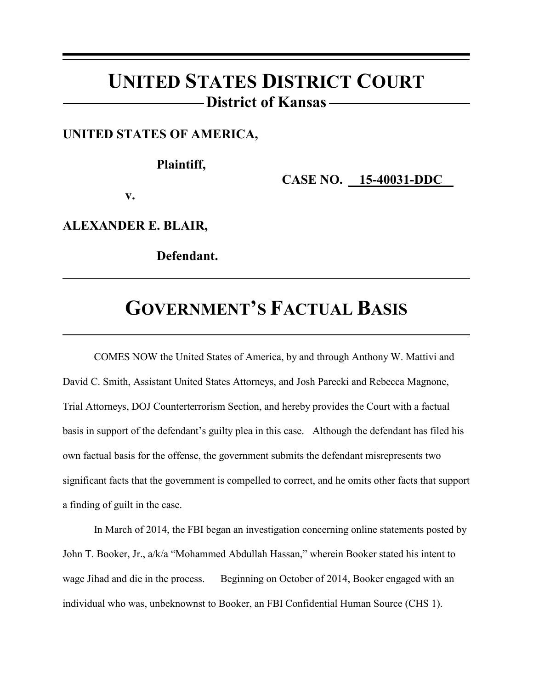## **UNITED STATES DISTRICT COURT District of Kansas**

#### **UNITED STATES OF AMERICA,**

### **Plaintiff,**

**CASE NO. 15-40031-DDC** 

**v.**

**ALEXANDER E. BLAIR,** 

**Defendant.**

# **GOVERNMENT'S FACTUAL BASIS**

COMES NOW the United States of America, by and through Anthony W. Mattivi and David C. Smith, Assistant United States Attorneys, and Josh Parecki and Rebecca Magnone, Trial Attorneys, DOJ Counterterrorism Section, and hereby provides the Court with a factual basis in support of the defendant's guilty plea in this case. Although the defendant has filed his own factual basis for the offense, the government submits the defendant misrepresents two significant facts that the government is compelled to correct, and he omits other facts that support a finding of guilt in the case.

In March of 2014, the FBI began an investigation concerning online statements posted by John T. Booker, Jr., a/k/a "Mohammed Abdullah Hassan," wherein Booker stated his intent to wage Jihad and die in the process. Beginning on October of 2014, Booker engaged with an individual who was, unbeknownst to Booker, an FBI Confidential Human Source (CHS 1).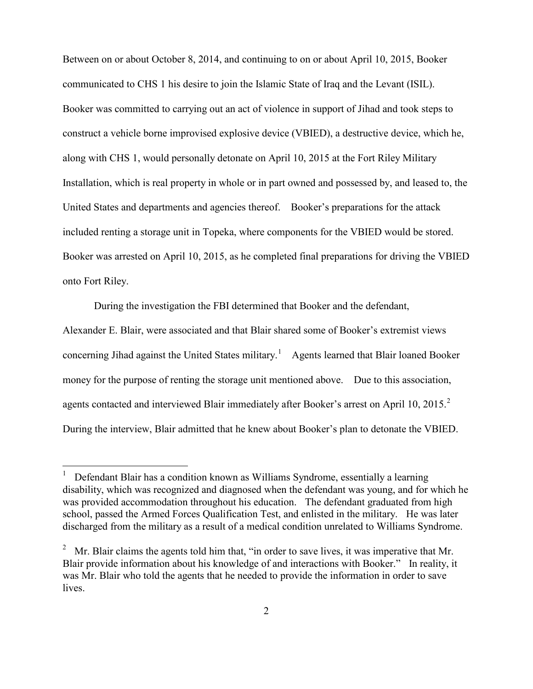Between on or about October 8, 2014, and continuing to on or about April 10, 2015, Booker communicated to CHS 1 his desire to join the Islamic State of Iraq and the Levant (ISIL). Booker was committed to carrying out an act of violence in support of Jihad and took steps to construct a vehicle borne improvised explosive device (VBIED), a destructive device, which he, along with CHS 1, would personally detonate on April 10, 2015 at the Fort Riley Military Installation, which is real property in whole or in part owned and possessed by, and leased to, the United States and departments and agencies thereof. Booker's preparations for the attack included renting a storage unit in Topeka, where components for the VBIED would be stored. Booker was arrested on April 10, 2015, as he completed final preparations for driving the VBIED onto Fort Riley.

During the investigation the FBI determined that Booker and the defendant,

Alexander E. Blair, were associated and that Blair shared some of Booker's extremist views concerning Jihad against the United States military.<sup>1</sup> Agents learned that Blair loaned Booker money for the purpose of renting the storage unit mentioned above. Due to this association, agents contacted and interviewed Blair immediately after Booker's arrest on April 10, 2015.<sup>2</sup> During the interview, Blair admitted that he knew about Booker's plan to detonate the VBIED.

 $\frac{1}{1}$  Defendant Blair has a condition known as Williams Syndrome, essentially a learning disability, which was recognized and diagnosed when the defendant was young, and for which he was provided accommodation throughout his education. The defendant graduated from high school, passed the Armed Forces Qualification Test, and enlisted in the military. He was later discharged from the military as a result of a medical condition unrelated to Williams Syndrome.

<sup>&</sup>lt;sup>2</sup> Mr. Blair claims the agents told him that, "in order to save lives, it was imperative that Mr. Blair provide information about his knowledge of and interactions with Booker." In reality, it was Mr. Blair who told the agents that he needed to provide the information in order to save lives.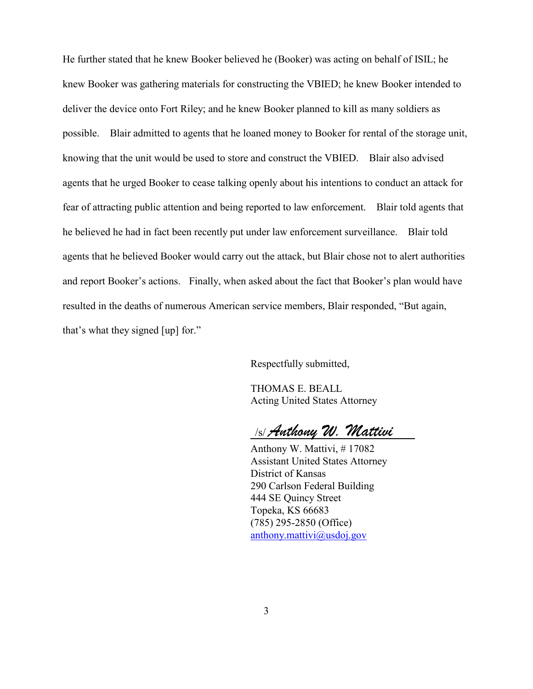He further stated that he knew Booker believed he (Booker) was acting on behalf of ISIL; he knew Booker was gathering materials for constructing the VBIED; he knew Booker intended to deliver the device onto Fort Riley; and he knew Booker planned to kill as many soldiers as possible. Blair admitted to agents that he loaned money to Booker for rental of the storage unit, knowing that the unit would be used to store and construct the VBIED. Blair also advised agents that he urged Booker to cease talking openly about his intentions to conduct an attack for fear of attracting public attention and being reported to law enforcement. Blair told agents that he believed he had in fact been recently put under law enforcement surveillance. Blair told agents that he believed Booker would carry out the attack, but Blair chose not to alert authorities and report Booker's actions. Finally, when asked about the fact that Booker's plan would have resulted in the deaths of numerous American service members, Blair responded, "But again, that's what they signed [up] for."

Respectfully submitted,

THOMAS E. BEALL Acting United States Attorney

/s/ Anthony W. Mattivi

Anthony W. Mattivi, # 17082 Assistant United States Attorney District of Kansas 290 Carlson Federal Building 444 SE Quincy Street Topeka, KS 66683 (785) 295-2850 (Office) anthony.mattivi@usdoj.gov